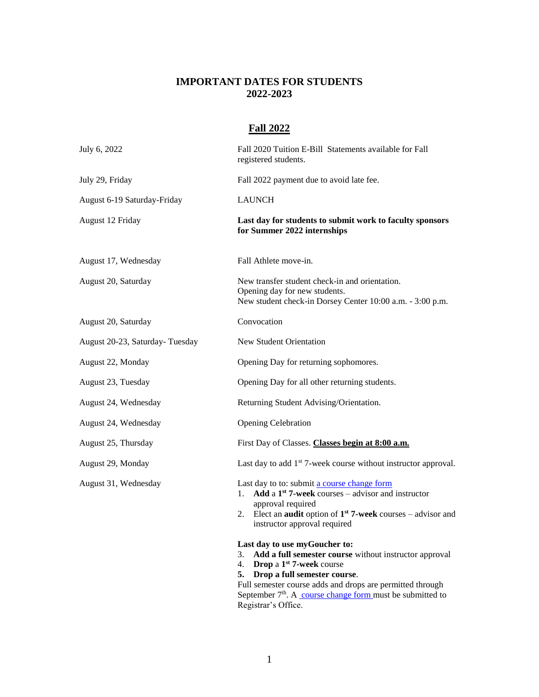## **IMPORTANT DATES FOR STUDENTS 2022-2023**

## **Fall 2022**

| July 6, 2022                   | Fall 2020 Tuition E-Bill Statements available for Fall<br>registered students.                                                                                                                                                                                                                |
|--------------------------------|-----------------------------------------------------------------------------------------------------------------------------------------------------------------------------------------------------------------------------------------------------------------------------------------------|
| July 29, Friday                | Fall 2022 payment due to avoid late fee.                                                                                                                                                                                                                                                      |
| August 6-19 Saturday-Friday    | <b>LAUNCH</b>                                                                                                                                                                                                                                                                                 |
| August 12 Friday               | Last day for students to submit work to faculty sponsors<br>for Summer 2022 internships                                                                                                                                                                                                       |
| August 17, Wednesday           | Fall Athlete move-in.                                                                                                                                                                                                                                                                         |
| August 20, Saturday            | New transfer student check-in and orientation.<br>Opening day for new students.<br>New student check-in Dorsey Center 10:00 a.m. - 3:00 p.m.                                                                                                                                                  |
| August 20, Saturday            | Convocation                                                                                                                                                                                                                                                                                   |
| August 20-23, Saturday-Tuesday | New Student Orientation                                                                                                                                                                                                                                                                       |
| August 22, Monday              | Opening Day for returning sophomores.                                                                                                                                                                                                                                                         |
| August 23, Tuesday             | Opening Day for all other returning students.                                                                                                                                                                                                                                                 |
| August 24, Wednesday           | Returning Student Advising/Orientation.                                                                                                                                                                                                                                                       |
| August 24, Wednesday           | <b>Opening Celebration</b>                                                                                                                                                                                                                                                                    |
| August 25, Thursday            | First Day of Classes. Classes begin at 8:00 a.m.                                                                                                                                                                                                                                              |
| August 29, Monday              | Last day to add 1 <sup>st</sup> 7-week course without instructor approval.                                                                                                                                                                                                                    |
| August 31, Wednesday           | Last day to to: submit a course change form<br>Add a $1st$ 7-week courses – advisor and instructor<br>$1_{-}$<br>approval required<br>Elect an <b>audit</b> option of $1st$ 7-week courses – advisor and<br>2.<br>instructor approval required                                                |
|                                | Last day to use myGoucher to:<br>3. Add a full semester course without instructor approval<br>4. Drop a $1st$ 7-week course<br>Drop a full semester course.<br>5.<br>Full semester course adds and drops are permitted through<br>September $7th$ . A course change form must be submitted to |

Registrar's Office.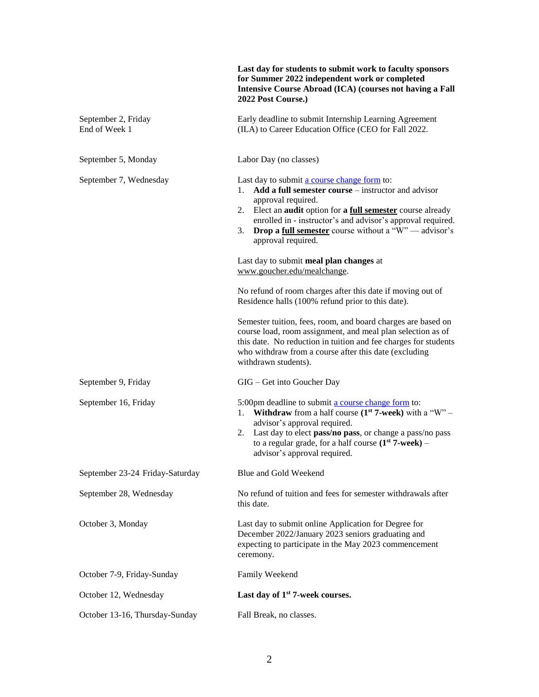|                                      | Last day for students to submit work to faculty sponsors<br>for Summer 2022 independent work or completed<br><b>Intensive Course Abroad (ICA) (courses not having a Fall</b><br>2022 Post Course.)                                                                                                                                                                                   |
|--------------------------------------|--------------------------------------------------------------------------------------------------------------------------------------------------------------------------------------------------------------------------------------------------------------------------------------------------------------------------------------------------------------------------------------|
| September 2, Friday<br>End of Week 1 | Early deadline to submit Internship Learning Agreement<br>(ILA) to Career Education Office (CEO for Fall 2022.                                                                                                                                                                                                                                                                       |
| September 5, Monday                  | Labor Day (no classes)                                                                                                                                                                                                                                                                                                                                                               |
| September 7, Wednesday               | Last day to submit a course change form to:<br><b>Add a full semester course</b> – instructor and advisor<br>1.<br>approval required.<br>Elect an <b>audit</b> option for a <b>full semester</b> course already<br>2.<br>enrolled in - instructor's and advisor's approval required.<br><b>Drop a full semester</b> course without a " $W$ " — advisor's<br>3.<br>approval required. |
|                                      | Last day to submit meal plan changes at<br>www.goucher.edu/mealchange.                                                                                                                                                                                                                                                                                                               |
|                                      | No refund of room charges after this date if moving out of<br>Residence halls (100% refund prior to this date).                                                                                                                                                                                                                                                                      |
|                                      | Semester tuition, fees, room, and board charges are based on<br>course load, room assignment, and meal plan selection as of<br>this date. No reduction in tuition and fee charges for students<br>who withdraw from a course after this date (excluding<br>withdrawn students).                                                                                                      |
| September 9, Friday                  | GIG - Get into Goucher Day                                                                                                                                                                                                                                                                                                                                                           |
| September 16, Friday                 | 5:00pm deadline to submit a course change form to:<br><b>Withdraw</b> from a half course $(1^{st} 7$ -week) with a "W" –<br>1.<br>advisor's approval required.<br>Last day to elect pass/no pass, or change a pass/no pass<br>2.<br>to a regular grade, for a half course $(1st 7$ -week) –<br>advisor's approval required.                                                          |
| September 23-24 Friday-Saturday      | Blue and Gold Weekend                                                                                                                                                                                                                                                                                                                                                                |
| September 28, Wednesday              | No refund of tuition and fees for semester withdrawals after<br>this date.                                                                                                                                                                                                                                                                                                           |
| October 3, Monday                    | Last day to submit online Application for Degree for<br>December 2022/January 2023 seniors graduating and<br>expecting to participate in the May 2023 commencement<br>ceremony.                                                                                                                                                                                                      |
| October 7-9, Friday-Sunday           | Family Weekend                                                                                                                                                                                                                                                                                                                                                                       |
| October 12, Wednesday                | Last day of 1 <sup>st</sup> 7-week courses.                                                                                                                                                                                                                                                                                                                                          |
| October 13-16, Thursday-Sunday       | Fall Break, no classes.                                                                                                                                                                                                                                                                                                                                                              |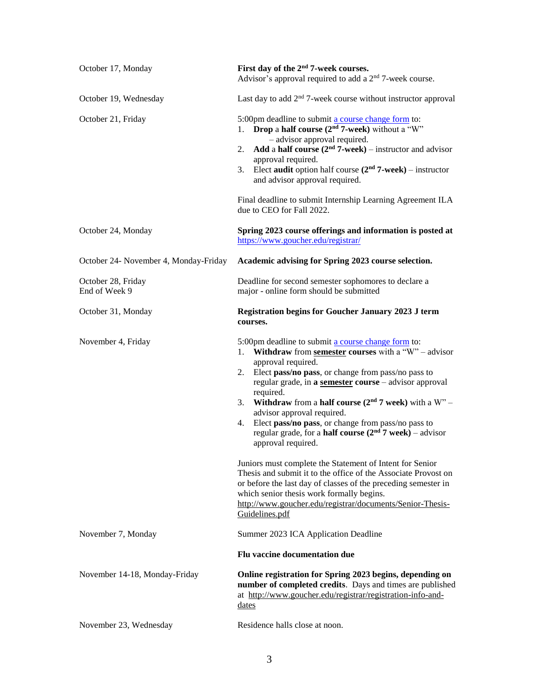| October 17, Monday                    | First day of the 2 <sup>nd</sup> 7-week courses.<br>Advisor's approval required to add a 2 <sup>nd</sup> 7-week course.                                                                                                                                                                                                                                                                                                                                                                                                                                                                                                                                                                                                                                                                                                                               |
|---------------------------------------|-------------------------------------------------------------------------------------------------------------------------------------------------------------------------------------------------------------------------------------------------------------------------------------------------------------------------------------------------------------------------------------------------------------------------------------------------------------------------------------------------------------------------------------------------------------------------------------------------------------------------------------------------------------------------------------------------------------------------------------------------------------------------------------------------------------------------------------------------------|
| October 19, Wednesday                 | Last day to add $2nd$ 7-week course without instructor approval                                                                                                                                                                                                                                                                                                                                                                                                                                                                                                                                                                                                                                                                                                                                                                                       |
| October 21, Friday                    | 5:00pm deadline to submit a course change form to:<br>1. <b>Drop</b> a <b>half course</b> $(2nd 7$ -week) without a "W"<br>- advisor approval required.<br>Add a half course $(2nd 7$ -week) – instructor and advisor<br>2.<br>approval required.<br>Elect audit option half course $(2nd 7$ -week) – instructor<br>3.<br>and advisor approval required.<br>Final deadline to submit Internship Learning Agreement ILA<br>due to CEO for Fall 2022.                                                                                                                                                                                                                                                                                                                                                                                                   |
| October 24, Monday                    | Spring 2023 course offerings and information is posted at<br>https://www.goucher.edu/registrar/                                                                                                                                                                                                                                                                                                                                                                                                                                                                                                                                                                                                                                                                                                                                                       |
| October 24- November 4, Monday-Friday | Academic advising for Spring 2023 course selection.                                                                                                                                                                                                                                                                                                                                                                                                                                                                                                                                                                                                                                                                                                                                                                                                   |
| October 28, Friday<br>End of Week 9   | Deadline for second semester sophomores to declare a<br>major - online form should be submitted                                                                                                                                                                                                                                                                                                                                                                                                                                                                                                                                                                                                                                                                                                                                                       |
| October 31, Monday                    | <b>Registration begins for Goucher January 2023 J term</b><br>courses.                                                                                                                                                                                                                                                                                                                                                                                                                                                                                                                                                                                                                                                                                                                                                                                |
| November 4, Friday                    | 5:00pm deadline to submit a course change form to:<br>1. Withdraw from semester courses with a "W" - advisor<br>approval required.<br>Elect pass/no pass, or change from pass/no pass to<br>2.<br>regular grade, in a semester course - advisor approval<br>required.<br>Withdraw from a half course $(2nd 7$ week) with a W" -<br>3.<br>advisor approval required.<br>Elect pass/no pass, or change from pass/no pass to<br>4.<br>regular grade, for a <b>half course</b> $(2nd 7$ week) – advisor<br>approval required.<br>Juniors must complete the Statement of Intent for Senior<br>Thesis and submit it to the office of the Associate Provost on<br>or before the last day of classes of the preceding semester in<br>which senior thesis work formally begins.<br>http://www.goucher.edu/registrar/documents/Senior-Thesis-<br>Guidelines.pdf |
| November 7, Monday                    | Summer 2023 ICA Application Deadline                                                                                                                                                                                                                                                                                                                                                                                                                                                                                                                                                                                                                                                                                                                                                                                                                  |
|                                       | Flu vaccine documentation due                                                                                                                                                                                                                                                                                                                                                                                                                                                                                                                                                                                                                                                                                                                                                                                                                         |
| November 14-18, Monday-Friday         | Online registration for Spring 2023 begins, depending on<br>number of completed credits. Days and times are published<br>at http://www.goucher.edu/registrar/registration-info-and-<br><u>dates</u>                                                                                                                                                                                                                                                                                                                                                                                                                                                                                                                                                                                                                                                   |
| November 23, Wednesday                | Residence halls close at noon.                                                                                                                                                                                                                                                                                                                                                                                                                                                                                                                                                                                                                                                                                                                                                                                                                        |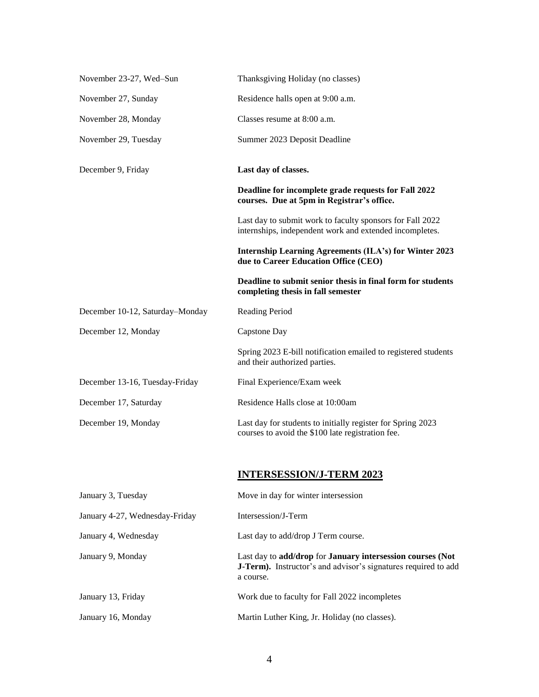| November 23-27, Wed-Sun         | Thanksgiving Holiday (no classes)                                                                                                         |
|---------------------------------|-------------------------------------------------------------------------------------------------------------------------------------------|
| November 27, Sunday             | Residence halls open at 9:00 a.m.                                                                                                         |
| November 28, Monday             | Classes resume at 8:00 a.m.                                                                                                               |
| November 29, Tuesday            | Summer 2023 Deposit Deadline                                                                                                              |
| December 9, Friday              | Last day of classes.                                                                                                                      |
|                                 | Deadline for incomplete grade requests for Fall 2022<br>courses. Due at 5pm in Registrar's office.                                        |
|                                 | Last day to submit work to faculty sponsors for Fall 2022<br>internships, independent work and extended incompletes.                      |
|                                 | Internship Learning Agreements (ILA's) for Winter 2023<br>due to Career Education Office (CEO)                                            |
|                                 | Deadline to submit senior thesis in final form for students<br>completing thesis in fall semester                                         |
| December 10-12, Saturday-Monday | Reading Period                                                                                                                            |
| December 12, Monday             | Capstone Day                                                                                                                              |
|                                 | Spring 2023 E-bill notification emailed to registered students<br>and their authorized parties.                                           |
| December 13-16, Tuesday-Friday  | Final Experience/Exam week                                                                                                                |
| December 17, Saturday           | Residence Halls close at 10:00am                                                                                                          |
| December 19, Monday             | Last day for students to initially register for Spring 2023<br>courses to avoid the \$100 late registration fee.                          |
|                                 |                                                                                                                                           |
|                                 | <b>INTERSESSION/J-TERM 2023</b>                                                                                                           |
| January 3, Tuesday              | Move in day for winter intersession                                                                                                       |
| January 4-27, Wednesday-Friday  | Intersession/J-Term                                                                                                                       |
| January 4, Wednesday            | Last day to add/drop J Term course.                                                                                                       |
| January 9, Monday               | Last day to add/drop for January intersession courses (Not<br>J-Term). Instructor's and advisor's signatures required to add<br>a course. |
| January 13, Friday              | Work due to faculty for Fall 2022 incompletes                                                                                             |

January 16, Monday Martin Luther King, Jr. Holiday (no classes).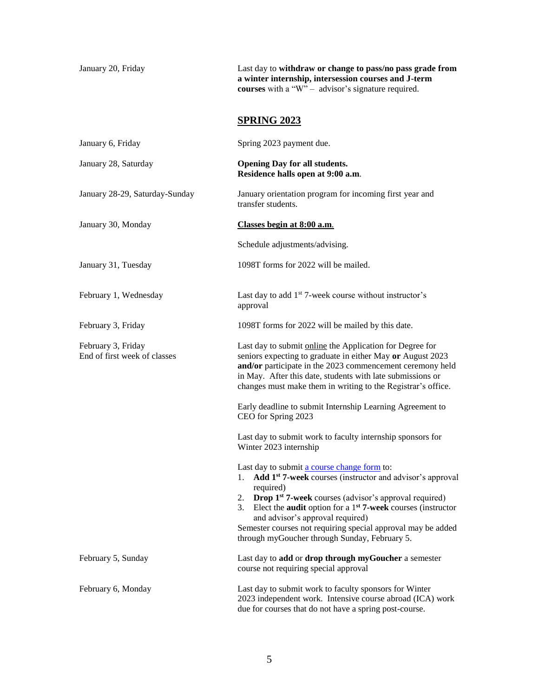|                                                    | <b>courses</b> with a "W" – advisor's signature required.                                                                                                                                                                                                                                                                                                                                                                                     |
|----------------------------------------------------|-----------------------------------------------------------------------------------------------------------------------------------------------------------------------------------------------------------------------------------------------------------------------------------------------------------------------------------------------------------------------------------------------------------------------------------------------|
|                                                    | <b>SPRING 2023</b>                                                                                                                                                                                                                                                                                                                                                                                                                            |
| January 6, Friday                                  | Spring 2023 payment due.                                                                                                                                                                                                                                                                                                                                                                                                                      |
| January 28, Saturday                               | <b>Opening Day for all students.</b><br>Residence halls open at 9:00 a.m.                                                                                                                                                                                                                                                                                                                                                                     |
| January 28-29, Saturday-Sunday                     | January orientation program for incoming first year and<br>transfer students.                                                                                                                                                                                                                                                                                                                                                                 |
| January 30, Monday                                 | Classes begin at 8:00 a.m.                                                                                                                                                                                                                                                                                                                                                                                                                    |
|                                                    | Schedule adjustments/advising.                                                                                                                                                                                                                                                                                                                                                                                                                |
| January 31, Tuesday                                | 1098T forms for 2022 will be mailed.                                                                                                                                                                                                                                                                                                                                                                                                          |
| February 1, Wednesday                              | Last day to add 1 <sup>st</sup> 7-week course without instructor's<br>approval                                                                                                                                                                                                                                                                                                                                                                |
| February 3, Friday                                 | 1098T forms for 2022 will be mailed by this date.                                                                                                                                                                                                                                                                                                                                                                                             |
| February 3, Friday<br>End of first week of classes | Last day to submit online the Application for Degree for<br>seniors expecting to graduate in either May or August 2023<br>and/or participate in the 2023 commencement ceremony held<br>in May. After this date, students with late submissions or<br>changes must make them in writing to the Registrar's office.                                                                                                                             |
|                                                    | Early deadline to submit Internship Learning Agreement to<br>CEO for Spring 2023                                                                                                                                                                                                                                                                                                                                                              |
|                                                    | Last day to submit work to faculty internship sponsors for<br>Winter 2023 internship                                                                                                                                                                                                                                                                                                                                                          |
|                                                    | Last day to submit a course change form to:<br>1. Add 1 <sup>st</sup> 7-week courses (instructor and advisor's approval<br>required)<br><b>Drop 1st 7-week</b> courses (advisor's approval required)<br>2.<br>Elect the <b>audit</b> option for a $1st$ 7-week courses (instructor<br>3.<br>and advisor's approval required)<br>Semester courses not requiring special approval may be added<br>through myGoucher through Sunday, February 5. |
| February 5, Sunday                                 | Last day to add or drop through myGoucher a semester<br>course not requiring special approval                                                                                                                                                                                                                                                                                                                                                 |
| February 6, Monday                                 | Last day to submit work to faculty sponsors for Winter                                                                                                                                                                                                                                                                                                                                                                                        |

January 20, Friday Last day to **withdraw or change to pass/no pass grade from** 

**a winter internship, intersession courses and J-term** 

2023 independent work. Intensive course abroad (ICA) work

due for courses that do not have a spring post-course.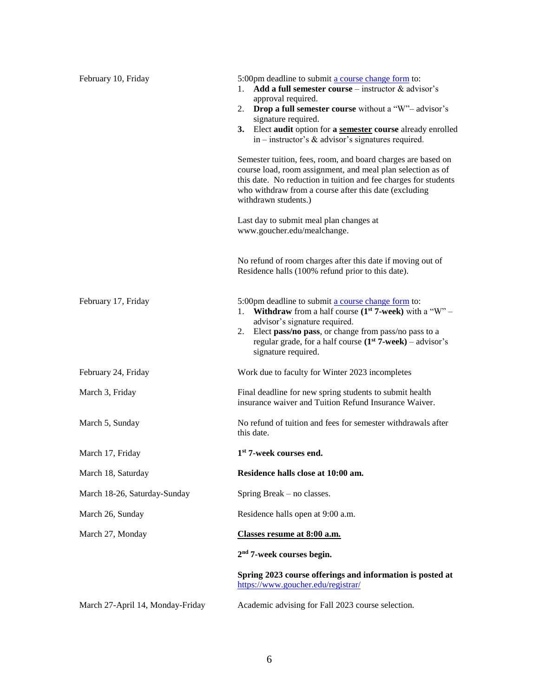| February 10, Friday              | 5:00pm deadline to submit a course change form to:<br>Add a full semester course – instructor $\&$ advisor's<br>1.<br>approval required.<br><b>Drop a full semester course</b> without a "W"- advisor's<br>2.<br>signature required.<br>3. Elect audit option for a semester course already enrolled<br>in – instructor's $\&$ advisor's signatures required.<br>Semester tuition, fees, room, and board charges are based on<br>course load, room assignment, and meal plan selection as of<br>this date. No reduction in tuition and fee charges for students<br>who withdraw from a course after this date (excluding<br>withdrawn students.)<br>Last day to submit meal plan changes at<br>www.goucher.edu/mealchange.<br>No refund of room charges after this date if moving out of |
|----------------------------------|------------------------------------------------------------------------------------------------------------------------------------------------------------------------------------------------------------------------------------------------------------------------------------------------------------------------------------------------------------------------------------------------------------------------------------------------------------------------------------------------------------------------------------------------------------------------------------------------------------------------------------------------------------------------------------------------------------------------------------------------------------------------------------------|
| February 17, Friday              | Residence halls (100% refund prior to this date).<br>5:00pm deadline to submit a course change form to:<br><b>Withdraw</b> from a half course $(1st 7$ -week) with a "W" –<br>1.<br>advisor's signature required.<br>Elect pass/no pass, or change from pass/no pass to a<br>2.<br>regular grade, for a half course $(1st 7-week) - advisor's$<br>signature required.                                                                                                                                                                                                                                                                                                                                                                                                                    |
| February 24, Friday              | Work due to faculty for Winter 2023 incompletes                                                                                                                                                                                                                                                                                                                                                                                                                                                                                                                                                                                                                                                                                                                                          |
| March 3, Friday                  | Final deadline for new spring students to submit health<br>insurance waiver and Tuition Refund Insurance Waiver.                                                                                                                                                                                                                                                                                                                                                                                                                                                                                                                                                                                                                                                                         |
| March 5, Sunday                  | No refund of tuition and fees for semester withdrawals after<br>this date.                                                                                                                                                                                                                                                                                                                                                                                                                                                                                                                                                                                                                                                                                                               |
| March 17, Friday                 | 1 <sup>st</sup> 7-week courses end.                                                                                                                                                                                                                                                                                                                                                                                                                                                                                                                                                                                                                                                                                                                                                      |
| March 18, Saturday               | Residence halls close at 10:00 am.                                                                                                                                                                                                                                                                                                                                                                                                                                                                                                                                                                                                                                                                                                                                                       |
| March 18-26, Saturday-Sunday     | Spring Break – no classes.                                                                                                                                                                                                                                                                                                                                                                                                                                                                                                                                                                                                                                                                                                                                                               |
| March 26, Sunday                 | Residence halls open at 9:00 a.m.                                                                                                                                                                                                                                                                                                                                                                                                                                                                                                                                                                                                                                                                                                                                                        |
| March 27, Monday                 | Classes resume at 8:00 a.m.                                                                                                                                                                                                                                                                                                                                                                                                                                                                                                                                                                                                                                                                                                                                                              |
|                                  | $2nd$ 7-week courses begin.                                                                                                                                                                                                                                                                                                                                                                                                                                                                                                                                                                                                                                                                                                                                                              |
|                                  | Spring 2023 course offerings and information is posted at<br>https://www.goucher.edu/registrar/                                                                                                                                                                                                                                                                                                                                                                                                                                                                                                                                                                                                                                                                                          |
| March 27-April 14, Monday-Friday | Academic advising for Fall 2023 course selection.                                                                                                                                                                                                                                                                                                                                                                                                                                                                                                                                                                                                                                                                                                                                        |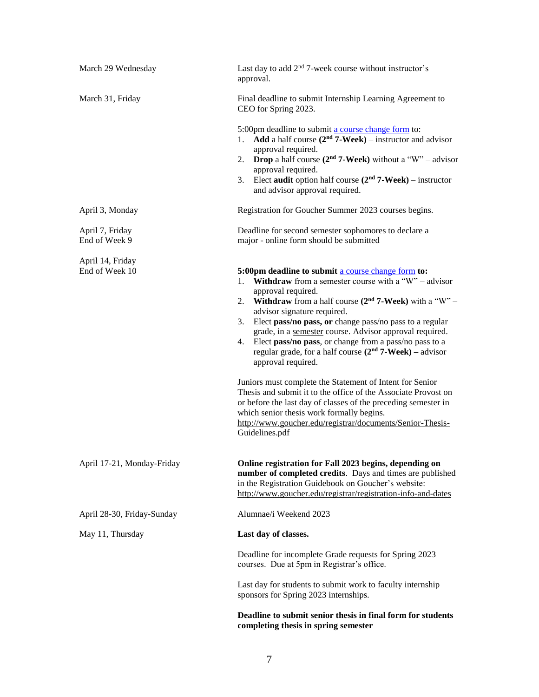| March 29 Wednesday                 | Last day to add $2nd$ 7-week course without instructor's<br>approval.                                                                                                                                                                                                                                                                                                                                                                                                                                                                                                                                                                                                                                                                                                                                                                                            |
|------------------------------------|------------------------------------------------------------------------------------------------------------------------------------------------------------------------------------------------------------------------------------------------------------------------------------------------------------------------------------------------------------------------------------------------------------------------------------------------------------------------------------------------------------------------------------------------------------------------------------------------------------------------------------------------------------------------------------------------------------------------------------------------------------------------------------------------------------------------------------------------------------------|
| March 31, Friday                   | Final deadline to submit Internship Learning Agreement to<br>CEO for Spring 2023.                                                                                                                                                                                                                                                                                                                                                                                                                                                                                                                                                                                                                                                                                                                                                                                |
|                                    | 5:00pm deadline to submit a course change form to:<br>Add a half course $(2nd 7-Week)$ – instructor and advisor<br>1.<br>approval required.<br><b>Drop</b> a half course $(2nd 7$ -Week) without a "W" – advisor<br>2.<br>approval required.<br>Elect <b>audit</b> option half course $(2nd 7-Week)$ – instructor<br>3.<br>and advisor approval required.                                                                                                                                                                                                                                                                                                                                                                                                                                                                                                        |
| April 3, Monday                    | Registration for Goucher Summer 2023 courses begins.                                                                                                                                                                                                                                                                                                                                                                                                                                                                                                                                                                                                                                                                                                                                                                                                             |
| April 7, Friday<br>End of Week 9   | Deadline for second semester sophomores to declare a<br>major - online form should be submitted                                                                                                                                                                                                                                                                                                                                                                                                                                                                                                                                                                                                                                                                                                                                                                  |
| April 14, Friday<br>End of Week 10 | 5:00pm deadline to submit a course change form to:<br><b>Withdraw</b> from a semester course with a "W" – advisor<br>1.<br>approval required.<br><b>Withdraw</b> from a half course $(2nd 7$ -Week) with a "W" –<br>2.<br>advisor signature required.<br>Elect pass/no pass, or change pass/no pass to a regular<br>3.<br>grade, in a semester course. Advisor approval required.<br>Elect pass/no pass, or change from a pass/no pass to a<br>4.<br>regular grade, for a half course $(2nd 7-Week)$ – advisor<br>approval required.<br>Juniors must complete the Statement of Intent for Senior<br>Thesis and submit it to the office of the Associate Provost on<br>or before the last day of classes of the preceding semester in<br>which senior thesis work formally begins.<br>http://www.goucher.edu/registrar/documents/Senior-Thesis-<br>Guidelines.pdf |
| April 17-21, Monday-Friday         | Online registration for Fall 2023 begins, depending on<br>number of completed credits. Days and times are published<br>in the Registration Guidebook on Goucher's website:<br>http://www.goucher.edu/registrar/registration-info-and-dates                                                                                                                                                                                                                                                                                                                                                                                                                                                                                                                                                                                                                       |
| April 28-30, Friday-Sunday         | Alumnae/i Weekend 2023                                                                                                                                                                                                                                                                                                                                                                                                                                                                                                                                                                                                                                                                                                                                                                                                                                           |
| May 11, Thursday                   | Last day of classes.                                                                                                                                                                                                                                                                                                                                                                                                                                                                                                                                                                                                                                                                                                                                                                                                                                             |
|                                    | Deadline for incomplete Grade requests for Spring 2023<br>courses. Due at 5pm in Registrar's office.                                                                                                                                                                                                                                                                                                                                                                                                                                                                                                                                                                                                                                                                                                                                                             |
|                                    | Last day for students to submit work to faculty internship<br>sponsors for Spring 2023 internships.                                                                                                                                                                                                                                                                                                                                                                                                                                                                                                                                                                                                                                                                                                                                                              |
|                                    | Deadline to submit senior thesis in final form for students<br>completing thesis in spring semester                                                                                                                                                                                                                                                                                                                                                                                                                                                                                                                                                                                                                                                                                                                                                              |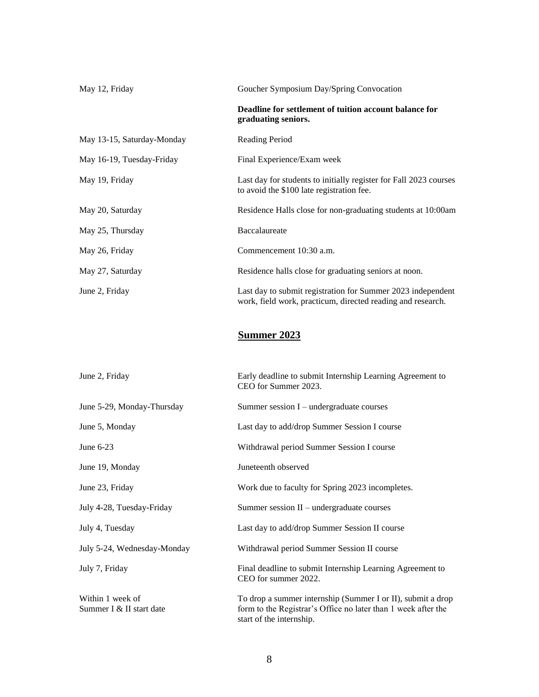| May 12, Friday             | Goucher Symposium Day/Spring Convocation                                                                                   |
|----------------------------|----------------------------------------------------------------------------------------------------------------------------|
|                            | Deadline for settlement of tuition account balance for<br>graduating seniors.                                              |
| May 13-15, Saturday-Monday | <b>Reading Period</b>                                                                                                      |
| May 16-19, Tuesday-Friday  | Final Experience/Exam week                                                                                                 |
| May 19, Friday             | Last day for students to initially register for Fall 2023 courses<br>to avoid the \$100 late registration fee.             |
| May 20, Saturday           | Residence Halls close for non-graduating students at 10:00am                                                               |
| May 25, Thursday           | Baccalaureate                                                                                                              |
| May 26, Friday             | Commencement 10:30 a.m.                                                                                                    |
| May 27, Saturday           | Residence halls close for graduating seniors at noon.                                                                      |
| June 2, Friday             | Last day to submit registration for Summer 2023 independent<br>work, field work, practicum, directed reading and research. |
|                            |                                                                                                                            |

## **Summer 2023**

| June 2, Friday                               | Early deadline to submit Internship Learning Agreement to<br>CEO for Summer 2023.                                                                        |
|----------------------------------------------|----------------------------------------------------------------------------------------------------------------------------------------------------------|
| June 5-29, Monday-Thursday                   | Summer session $I$ – undergraduate courses                                                                                                               |
| June 5, Monday                               | Last day to add/drop Summer Session I course                                                                                                             |
| June $6-23$                                  | Withdrawal period Summer Session I course                                                                                                                |
| June 19, Monday                              | Juneteenth observed                                                                                                                                      |
| June 23, Friday                              | Work due to faculty for Spring 2023 incompletes.                                                                                                         |
| July 4-28, Tuesday-Friday                    | Summer session $II$ – undergraduate courses                                                                                                              |
| July 4, Tuesday                              | Last day to add/drop Summer Session II course                                                                                                            |
| July 5-24, Wednesday-Monday                  | Withdrawal period Summer Session II course                                                                                                               |
| July 7, Friday                               | Final deadline to submit Internship Learning Agreement to<br>CEO for summer 2022.                                                                        |
| Within 1 week of<br>Summer I & II start date | To drop a summer internship (Summer I or II), submit a drop<br>form to the Registrar's Office no later than 1 week after the<br>start of the internship. |